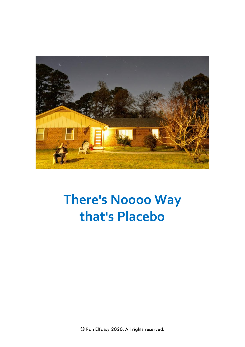

## **There's Noooo Way** that's Placebo

© Ran Elfassy 2020. All rights reserved.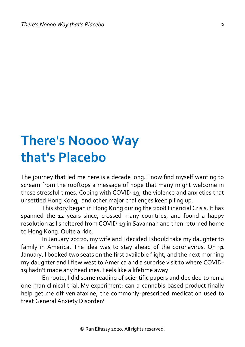## **There's Noooo Way that's Placebo**

The journey that led me here is a decade long. I now find myself wanting to scream from the rooftops a message of hope that many might welcome in these stressful times. Coping with COVID-19, the violence and anxieties that unsettled Hong Kong, and other major challenges keep piling up.

This story began in Hong Kong during the 2008 Financial Crisis. It has spanned the 12 years since, crossed many countries, and found a happy resolution as I sheltered from COVID-19 in Savannah and then returned home to Hong Kong. Quite a ride.

In January 20220, my wife and I decided I should take my daughter to family in America. The idea was to stay ahead of the coronavirus. On 31 January, I booked two seats on the first available flight, and the next morning my daughter and I flew west to America and a surprise visit to where COVID-19 hadn't made any headlines. Feels like a lifetime away!

En route, I did some reading of scientific papers and decided to run a one-man clinical trial. My experiment: can a cannabis-based product finally help get me off venlafaxine, the commonly-prescribed medication used to treat General Anxiety Disorder?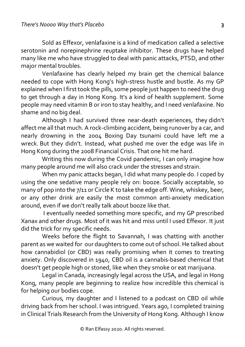Sold as Effexor, venlafaxine is a kind of medication called a selective serotonin and norepinephrine reuptake inhibitor. These drugs have helped many like me who have struggled to deal with panic attacks, PTSD, and other major mental troubles.

Venlafaxine has clearly helped my brain get the chemical balance needed to cope with Hong Kong's high-stress hustle and bustle. As my GP explained when I first took the pills, some people just happen to need the drug to get through a day in Hong Kong. It's a kind of health supplement. Some people may need vitamin B or iron to stay healthy, and I need venlafaxine. No shame and no big deal.

Although I had survived three near-death experiences, they didn't affect me all that much. A rock-climbing accident, being runover by a car, and nearly drowning in the 2004 Boxing Day tsunami could have left me a wreck. But they didn't. Instead, what pushed me over the edge was life in Hong Kong during the 2008 Financial Crisis. That one hit me hard.

Writing this now during the Covid pandemic, I can only imagine how many people around me will also crack under the stresses and strain.

When my panic attacks began, I did what many people do. I coped by using the one sedative many people rely on: booze. Socially acceptable, so many of pop into the 7/11 or Circle K to take the edge off. Wine, whiskey, beer, or any other drink are easily the most common anti-anxiety medication around, even if we don't really talk about booze like that.

I eventually needed something more specific, and my GP prescribed Xanax and other drugs. Most of it was hit and miss until I used Effexor. It just did the trick for my specific needs.

Weeks before the flight to Savannah, I was chatting with another parent as we waited for our daughters to come out of school. He talked about how cannabidiol (or CBD) was really promising when it comes to treating anxiety. Only discovered in 1940, CBD oil is a cannabis-based chemical that doesn't get people high or stoned, like when they smoke or eat marijuana.

Legal in Canada, increasingly legal across the USA, and legal in Hong Kong, many people are beginning to realize how incredible this chemical is for helping our bodies cope.

Curious, my daughter and I listened to a podcast on CBD oil while driving back from her school. I was intrigued. Years ago, I completed training in Clinical Trials Research from the University of Hong Kong. Although I know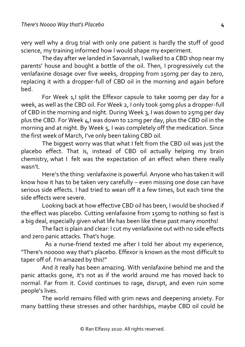very well why a drug trial with only one patient is hardly the stuff of good science, my training informed how I would shape my experiment.

The day after we landed in Savannah, I walked to a CBD shop near my parents' house and bought a bottle of the oil. Then, I progressively cut the venlafaxine dosage over five weeks, dropping from 150mg per day to zero, replacing it with a dropper-full of CBD oil in the morning and again before bed.

For Week 1,I split the Effexor capsule to take 100mg per day for a week, as well as the CBD oil. For Week 2, I only took 50mg plus a dropper-full of CBD in the morning and night. During Week 3, I was down to 25mg per day plus the CBD. For Week 4,I was down to 12mg per day, plus the CBD oil in the morning and at night. By Week 5, I was completely off the medication. Since the first week of March, I've only been taking CBD oil.

The biggest worry was that what I felt from the CBD oil was just the placebo effect. That is, instead of CBD oil actually helping my brain chemistry, what I felt was the expectation of an effect when there really wasn't.

Here's the thing: venlafaxine is powerful. Anyone who has taken it will know how it has to be taken very carefully – even missing one dose can have serious side effects. I had tried to wean off it a few times, but each time the side effects were severe.

Looking back at how effective CBD oil has been, I would be shocked if the effect was placebo. Cutting venlafaxine from 150mg to nothing so fast is a big deal, especially given what life has been like these past many months!

The fact is plain and clear: I cut my venlafaxine out with no side effects and zero panic attacks. That's huge.

 As a nurse-friend texted me after I told her about my experience, "There's nooooo way that's placebo. Effexor is known as the most difficult to taper off of. I'm amazed by this!"

And it really has been amazing. With venlafaxine behind me and the panic attacks gone, it's not as if the world around me has moved back to normal. Far from it. Covid continues to rage, disrupt, and even ruin some people's lives.

The world remains filled with grim news and deepening anxiety. For many battling these stresses and other hardships, maybe CBD oil could be